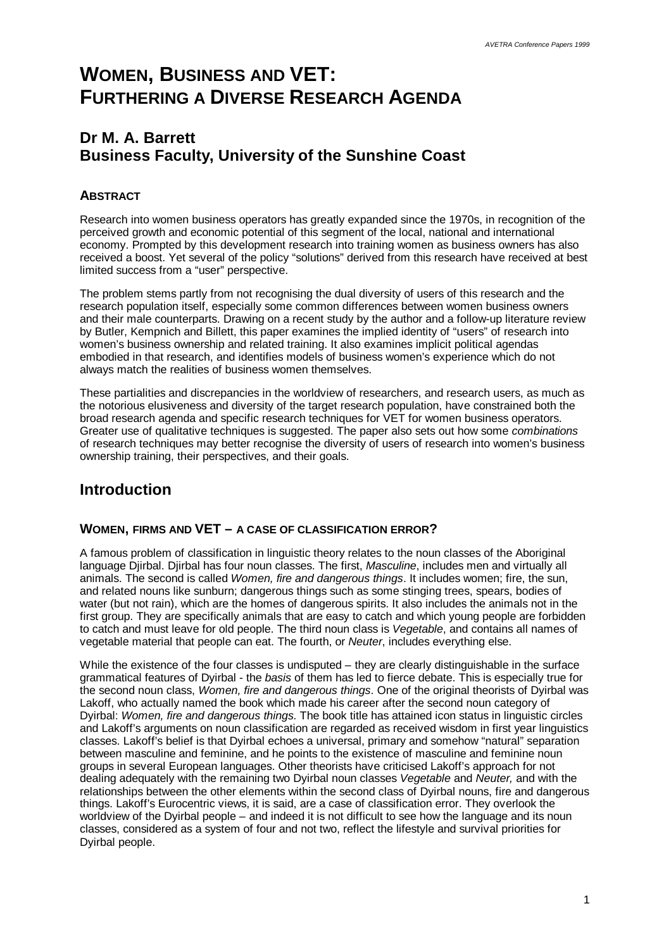# **WOMEN, BUSINESS AND VET: FURTHERING A DIVERSE RESEARCH AGENDA**

# **Dr M. A. Barrett Business Faculty, University of the Sunshine Coast**

# **ABSTRACT**

Research into women business operators has greatly expanded since the 1970s, in recognition of the perceived growth and economic potential of this segment of the local, national and international economy. Prompted by this development research into training women as business owners has also received a boost. Yet several of the policy "solutions" derived from this research have received at best limited success from a "user" perspective.

The problem stems partly from not recognising the dual diversity of users of this research and the research population itself, especially some common differences between women business owners and their male counterparts. Drawing on a recent study by the author and a follow-up literature review by Butler, Kempnich and Billett, this paper examines the implied identity of "users" of research into women's business ownership and related training. It also examines implicit political agendas embodied in that research, and identifies models of business women's experience which do not always match the realities of business women themselves.

These partialities and discrepancies in the worldview of researchers, and research users, as much as the notorious elusiveness and diversity of the target research population, have constrained both the broad research agenda and specific research techniques for VET for women business operators. Greater use of qualitative techniques is suggested. The paper also sets out how some *combinations* of research techniques may better recognise the diversity of users of research into women's business ownership training, their perspectives, and their goals.

# **Introduction**

# **WOMEN, FIRMS AND VET – A CASE OF CLASSIFICATION ERROR?**

A famous problem of classification in linguistic theory relates to the noun classes of the Aboriginal language Djirbal. Djirbal has four noun classes. The first, *Masculine*, includes men and virtually all animals. The second is called *Women, fire and dangerous things*. It includes women; fire, the sun, and related nouns like sunburn; dangerous things such as some stinging trees, spears, bodies of water (but not rain), which are the homes of dangerous spirits. It also includes the animals not in the first group. They are specifically animals that are easy to catch and which young people are forbidden to catch and must leave for old people. The third noun class is *Vegetable*, and contains all names of vegetable material that people can eat. The fourth, or *Neuter*, includes everything else.

While the existence of the four classes is undisputed – they are clearly distinguishable in the surface grammatical features of Dyirbal - the *basis* of them has led to fierce debate. This is especially true for the second noun class, *Women, fire and dangerous things*. One of the original theorists of Dyirbal was Lakoff, who actually named the book which made his career after the second noun category of Dyirbal: *Women, fire and dangerous things.* The book title has attained icon status in linguistic circles and Lakoff's arguments on noun classification are regarded as received wisdom in first year linguistics classes. Lakoff's belief is that Dyirbal echoes a universal, primary and somehow "natural" separation between masculine and feminine, and he points to the existence of masculine and feminine noun groups in several European languages. Other theorists have criticised Lakoff's approach for not dealing adequately with the remaining two Dyirbal noun classes *Vegetable* and *Neuter,* and with the relationships between the other elements within the second class of Dyirbal nouns, fire and dangerous things. Lakoff's Eurocentric views, it is said, are a case of classification error. They overlook the worldview of the Dyirbal people – and indeed it is not difficult to see how the language and its noun classes, considered as a system of four and not two, reflect the lifestyle and survival priorities for Dyirbal people.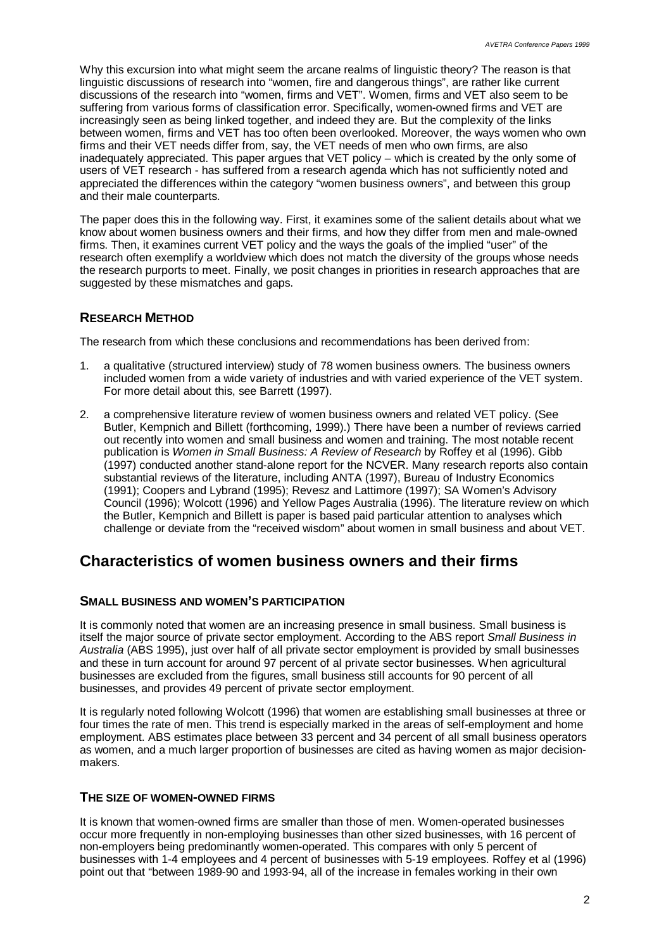Why this excursion into what might seem the arcane realms of linguistic theory? The reason is that linguistic discussions of research into "women, fire and dangerous things", are rather like current discussions of the research into "women, firms and VET". Women, firms and VET also seem to be suffering from various forms of classification error. Specifically, women-owned firms and VET are increasingly seen as being linked together, and indeed they are. But the complexity of the links between women, firms and VET has too often been overlooked. Moreover, the ways women who own firms and their VET needs differ from, say, the VET needs of men who own firms, are also inadequately appreciated. This paper argues that VET policy – which is created by the only some of users of VET research - has suffered from a research agenda which has not sufficiently noted and appreciated the differences within the category "women business owners", and between this group and their male counterparts.

The paper does this in the following way. First, it examines some of the salient details about what we know about women business owners and their firms, and how they differ from men and male-owned firms. Then, it examines current VET policy and the ways the goals of the implied "user" of the research often exemplify a worldview which does not match the diversity of the groups whose needs the research purports to meet. Finally, we posit changes in priorities in research approaches that are suggested by these mismatches and gaps.

# **RESEARCH METHOD**

The research from which these conclusions and recommendations has been derived from:

- 1. a qualitative (structured interview) study of 78 women business owners. The business owners included women from a wide variety of industries and with varied experience of the VET system. For more detail about this, see Barrett (1997).
- 2. a comprehensive literature review of women business owners and related VET policy. (See Butler, Kempnich and Billett (forthcoming, 1999).) There have been a number of reviews carried out recently into women and small business and women and training. The most notable recent publication is *Women in Small Business: A Review of Research* by Roffey et al (1996). Gibb (1997) conducted another stand-alone report for the NCVER. Many research reports also contain substantial reviews of the literature, including ANTA (1997), Bureau of Industry Economics (1991); Coopers and Lybrand (1995); Revesz and Lattimore (1997); SA Women's Advisory Council (1996); Wolcott (1996) and Yellow Pages Australia (1996). The literature review on which the Butler, Kempnich and Billett is paper is based paid particular attention to analyses which challenge or deviate from the "received wisdom" about women in small business and about VET.

# **Characteristics of women business owners and their firms**

#### **SMALL BUSINESS AND WOMEN'S PARTICIPATION**

It is commonly noted that women are an increasing presence in small business. Small business is itself the major source of private sector employment. According to the ABS report *Small Business in Australia* (ABS 1995), just over half of all private sector employment is provided by small businesses and these in turn account for around 97 percent of al private sector businesses. When agricultural businesses are excluded from the figures, small business still accounts for 90 percent of all businesses, and provides 49 percent of private sector employment.

It is regularly noted following Wolcott (1996) that women are establishing small businesses at three or four times the rate of men. This trend is especially marked in the areas of self-employment and home employment. ABS estimates place between 33 percent and 34 percent of all small business operators as women, and a much larger proportion of businesses are cited as having women as major decisionmakers.

#### **THE SIZE OF WOMEN-OWNED FIRMS**

It is known that women-owned firms are smaller than those of men. Women-operated businesses occur more frequently in non-employing businesses than other sized businesses, with 16 percent of non-employers being predominantly women-operated. This compares with only 5 percent of businesses with 1-4 employees and 4 percent of businesses with 5-19 employees. Roffey et al (1996) point out that "between 1989-90 and 1993-94, all of the increase in females working in their own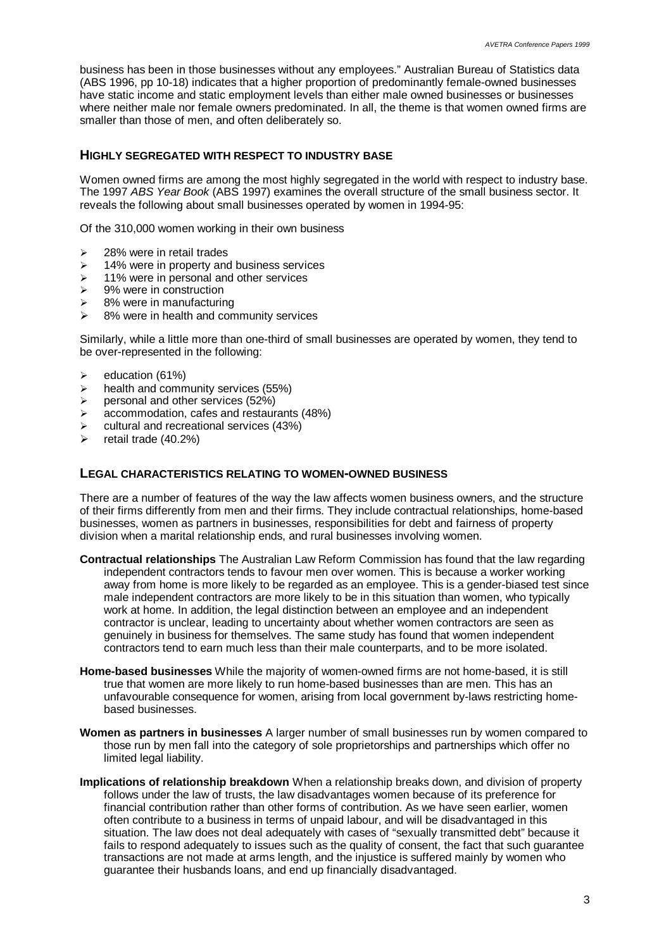business has been in those businesses without any employees." Australian Bureau of Statistics data (ABS 1996, pp 10-18) indicates that a higher proportion of predominantly female-owned businesses have static income and static employment levels than either male owned businesses or businesses where neither male nor female owners predominated. In all, the theme is that women owned firms are smaller than those of men, and often deliberately so.

#### **HIGHLY SEGREGATED WITH RESPECT TO INDUSTRY BASE**

Women owned firms are among the most highly segregated in the world with respect to industry base. The 1997 *ABS Year Book* (ABS 1997) examines the overall structure of the small business sector. It reveals the following about small businesses operated by women in 1994-95:

Of the 310,000 women working in their own business

- $\geq$  28% were in retail trades
- $\geq$  14% were in property and business services
- $\geq$  11% were in personal and other services
- $\ge$  9% were in construction
- $\geq$  8% were in manufacturing
- $\geq$  8% were in health and community services

Similarly, while a little more than one-third of small businesses are operated by women, they tend to be over-represented in the following:

- $\geq$  education (61%)
- $\triangleright$  health and community services (55%)
- $\triangleright$  personal and other services (52%)
- $\geq$  accommodation, cafes and restaurants (48%)
- $\triangleright$  cultural and recreational services (43%)
- retail trade (40.2%)

#### **LEGAL CHARACTERISTICS RELATING TO WOMEN-OWNED BUSINESS**

There are a number of features of the way the law affects women business owners, and the structure of their firms differently from men and their firms. They include contractual relationships, home-based businesses, women as partners in businesses, responsibilities for debt and fairness of property division when a marital relationship ends, and rural businesses involving women.

- **Contractual relationships** The Australian Law Reform Commission has found that the law regarding independent contractors tends to favour men over women. This is because a worker working away from home is more likely to be regarded as an employee. This is a gender-biased test since male independent contractors are more likely to be in this situation than women, who typically work at home. In addition, the legal distinction between an employee and an independent contractor is unclear, leading to uncertainty about whether women contractors are seen as genuinely in business for themselves. The same study has found that women independent contractors tend to earn much less than their male counterparts, and to be more isolated.
- **Home-based businesses** While the majority of women-owned firms are not home-based, it is still true that women are more likely to run home-based businesses than are men. This has an unfavourable consequence for women, arising from local government by-laws restricting homebased businesses.
- **Women as partners in businesses** A larger number of small businesses run by women compared to those run by men fall into the category of sole proprietorships and partnerships which offer no limited legal liability.
- **Implications of relationship breakdown** When a relationship breaks down, and division of property follows under the law of trusts, the law disadvantages women because of its preference for financial contribution rather than other forms of contribution. As we have seen earlier, women often contribute to a business in terms of unpaid labour, and will be disadvantaged in this situation. The law does not deal adequately with cases of "sexually transmitted debt" because it fails to respond adequately to issues such as the quality of consent, the fact that such guarantee transactions are not made at arms length, and the injustice is suffered mainly by women who guarantee their husbands loans, and end up financially disadvantaged.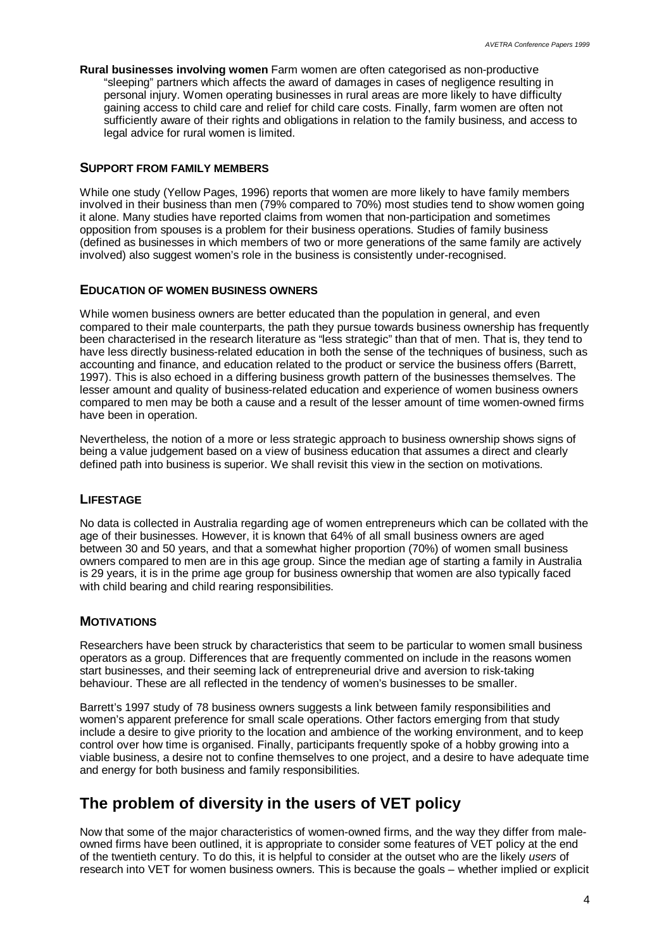**Rural businesses involving women** Farm women are often categorised as non-productive "sleeping" partners which affects the award of damages in cases of negligence resulting in personal injury. Women operating businesses in rural areas are more likely to have difficulty gaining access to child care and relief for child care costs. Finally, farm women are often not sufficiently aware of their rights and obligations in relation to the family business, and access to legal advice for rural women is limited.

### **SUPPORT FROM FAMILY MEMBERS**

While one study (Yellow Pages, 1996) reports that women are more likely to have family members involved in their business than men (79% compared to 70%) most studies tend to show women going it alone. Many studies have reported claims from women that non-participation and sometimes opposition from spouses is a problem for their business operations. Studies of family business (defined as businesses in which members of two or more generations of the same family are actively involved) also suggest women's role in the business is consistently under-recognised.

### **EDUCATION OF WOMEN BUSINESS OWNERS**

While women business owners are better educated than the population in general, and even compared to their male counterparts, the path they pursue towards business ownership has frequently been characterised in the research literature as "less strategic" than that of men. That is, they tend to have less directly business-related education in both the sense of the techniques of business, such as accounting and finance, and education related to the product or service the business offers (Barrett, 1997). This is also echoed in a differing business growth pattern of the businesses themselves. The lesser amount and quality of business-related education and experience of women business owners compared to men may be both a cause and a result of the lesser amount of time women-owned firms have been in operation.

Nevertheless, the notion of a more or less strategic approach to business ownership shows signs of being a value judgement based on a view of business education that assumes a direct and clearly defined path into business is superior. We shall revisit this view in the section on motivations.

# **LIFESTAGE**

No data is collected in Australia regarding age of women entrepreneurs which can be collated with the age of their businesses. However, it is known that 64% of all small business owners are aged between 30 and 50 years, and that a somewhat higher proportion (70%) of women small business owners compared to men are in this age group. Since the median age of starting a family in Australia is 29 years, it is in the prime age group for business ownership that women are also typically faced with child bearing and child rearing responsibilities.

# **MOTIVATIONS**

Researchers have been struck by characteristics that seem to be particular to women small business operators as a group. Differences that are frequently commented on include in the reasons women start businesses, and their seeming lack of entrepreneurial drive and aversion to risk-taking behaviour. These are all reflected in the tendency of women's businesses to be smaller.

Barrett's 1997 study of 78 business owners suggests a link between family responsibilities and women's apparent preference for small scale operations. Other factors emerging from that study include a desire to give priority to the location and ambience of the working environment, and to keep control over how time is organised. Finally, participants frequently spoke of a hobby growing into a viable business, a desire not to confine themselves to one project, and a desire to have adequate time and energy for both business and family responsibilities.

# **The problem of diversity in the users of VET policy**

Now that some of the major characteristics of women-owned firms, and the way they differ from maleowned firms have been outlined, it is appropriate to consider some features of VET policy at the end of the twentieth century. To do this, it is helpful to consider at the outset who are the likely *users* of research into VET for women business owners. This is because the goals – whether implied or explicit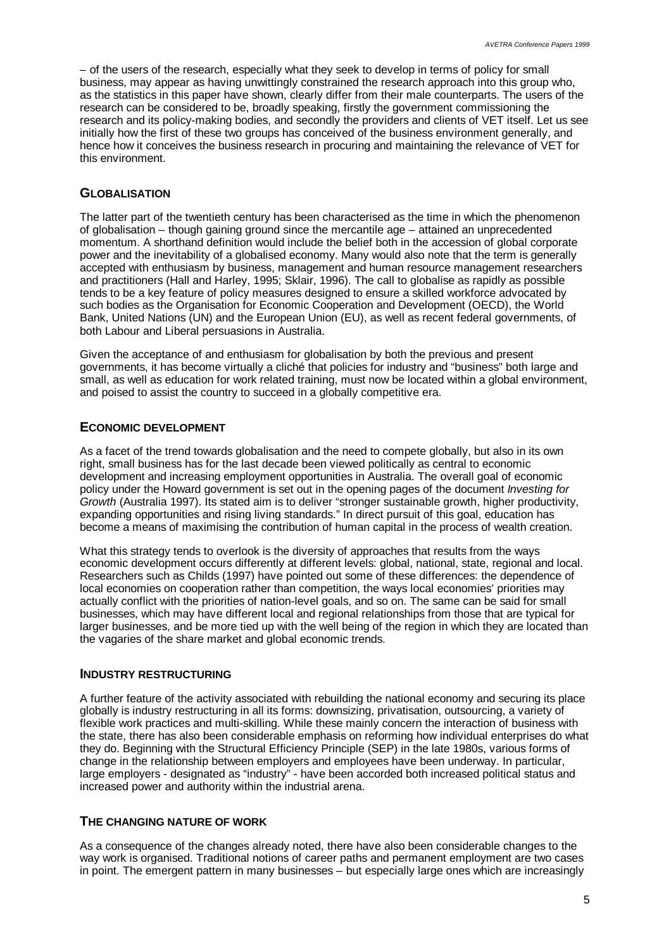– of the users of the research, especially what they seek to develop in terms of policy for small business, may appear as having unwittingly constrained the research approach into this group who, as the statistics in this paper have shown, clearly differ from their male counterparts. The users of the research can be considered to be, broadly speaking, firstly the government commissioning the research and its policy-making bodies, and secondly the providers and clients of VET itself. Let us see initially how the first of these two groups has conceived of the business environment generally, and hence how it conceives the business research in procuring and maintaining the relevance of VET for this environment.

#### **GLOBALISATION**

The latter part of the twentieth century has been characterised as the time in which the phenomenon of globalisation – though gaining ground since the mercantile age – attained an unprecedented momentum. A shorthand definition would include the belief both in the accession of global corporate power and the inevitability of a globalised economy. Many would also note that the term is generally accepted with enthusiasm by business, management and human resource management researchers and practitioners (Hall and Harley, 1995; Sklair, 1996). The call to globalise as rapidly as possible tends to be a key feature of policy measures designed to ensure a skilled workforce advocated by such bodies as the Organisation for Economic Cooperation and Development (OECD), the World Bank, United Nations (UN) and the European Union (EU), as well as recent federal governments, of both Labour and Liberal persuasions in Australia.

Given the acceptance of and enthusiasm for globalisation by both the previous and present governments, it has become virtually a cliché that policies for industry and "business" both large and small, as well as education for work related training, must now be located within a global environment, and poised to assist the country to succeed in a globally competitive era.

# **ECONOMIC DEVELOPMENT**

As a facet of the trend towards globalisation and the need to compete globally, but also in its own right, small business has for the last decade been viewed politically as central to economic development and increasing employment opportunities in Australia. The overall goal of economic policy under the Howard government is set out in the opening pages of the document *Investing for Growth* (Australia 1997). Its stated aim is to deliver "stronger sustainable growth, higher productivity, expanding opportunities and rising living standards." In direct pursuit of this goal, education has become a means of maximising the contribution of human capital in the process of wealth creation.

What this strategy tends to overlook is the diversity of approaches that results from the ways economic development occurs differently at different levels: global, national, state, regional and local. Researchers such as Childs (1997) have pointed out some of these differences: the dependence of local economies on cooperation rather than competition, the ways local economies' priorities may actually conflict with the priorities of nation-level goals, and so on. The same can be said for small businesses, which may have different local and regional relationships from those that are typical for larger businesses, and be more tied up with the well being of the region in which they are located than the vagaries of the share market and global economic trends.

#### **INDUSTRY RESTRUCTURING**

A further feature of the activity associated with rebuilding the national economy and securing its place globally is industry restructuring in all its forms: downsizing, privatisation, outsourcing, a variety of flexible work practices and multi-skilling. While these mainly concern the interaction of business with the state, there has also been considerable emphasis on reforming how individual enterprises do what they do. Beginning with the Structural Efficiency Principle (SEP) in the late 1980s, various forms of change in the relationship between employers and employees have been underway. In particular, large employers - designated as "industry" - have been accorded both increased political status and increased power and authority within the industrial arena.

#### **THE CHANGING NATURE OF WORK**

As a consequence of the changes already noted, there have also been considerable changes to the way work is organised. Traditional notions of career paths and permanent employment are two cases in point. The emergent pattern in many businesses – but especially large ones which are increasingly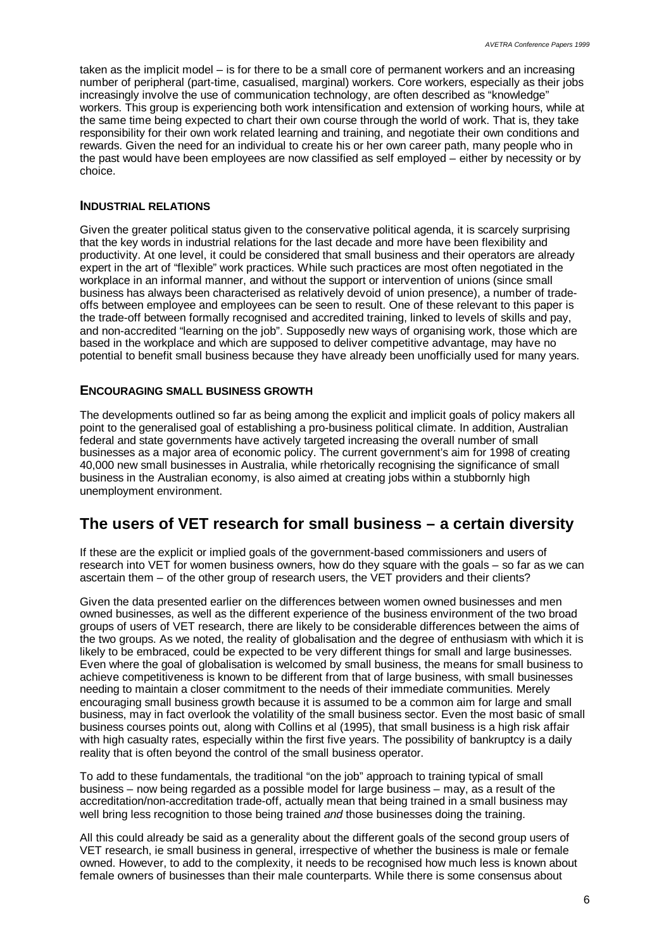taken as the implicit model – is for there to be a small core of permanent workers and an increasing number of peripheral (part-time, casualised, marginal) workers. Core workers, especially as their jobs increasingly involve the use of communication technology, are often described as "knowledge" workers. This group is experiencing both work intensification and extension of working hours, while at the same time being expected to chart their own course through the world of work. That is, they take responsibility for their own work related learning and training, and negotiate their own conditions and rewards. Given the need for an individual to create his or her own career path, many people who in the past would have been employees are now classified as self employed – either by necessity or by choice.

#### **INDUSTRIAL RELATIONS**

Given the greater political status given to the conservative political agenda, it is scarcely surprising that the key words in industrial relations for the last decade and more have been flexibility and productivity. At one level, it could be considered that small business and their operators are already expert in the art of "flexible" work practices. While such practices are most often negotiated in the workplace in an informal manner, and without the support or intervention of unions (since small business has always been characterised as relatively devoid of union presence), a number of tradeoffs between employee and employees can be seen to result. One of these relevant to this paper is the trade-off between formally recognised and accredited training, linked to levels of skills and pay, and non-accredited "learning on the job". Supposedly new ways of organising work, those which are based in the workplace and which are supposed to deliver competitive advantage, may have no potential to benefit small business because they have already been unofficially used for many years.

#### **ENCOURAGING SMALL BUSINESS GROWTH**

The developments outlined so far as being among the explicit and implicit goals of policy makers all point to the generalised goal of establishing a pro-business political climate. In addition, Australian federal and state governments have actively targeted increasing the overall number of small businesses as a major area of economic policy. The current government's aim for 1998 of creating 40,000 new small businesses in Australia, while rhetorically recognising the significance of small business in the Australian economy, is also aimed at creating jobs within a stubbornly high unemployment environment.

# **The users of VET research for small business – a certain diversity**

If these are the explicit or implied goals of the government-based commissioners and users of research into VET for women business owners, how do they square with the goals – so far as we can ascertain them – of the other group of research users, the VET providers and their clients?

Given the data presented earlier on the differences between women owned businesses and men owned businesses, as well as the different experience of the business environment of the two broad groups of users of VET research, there are likely to be considerable differences between the aims of the two groups. As we noted, the reality of globalisation and the degree of enthusiasm with which it is likely to be embraced, could be expected to be very different things for small and large businesses. Even where the goal of globalisation is welcomed by small business, the means for small business to achieve competitiveness is known to be different from that of large business, with small businesses needing to maintain a closer commitment to the needs of their immediate communities. Merely encouraging small business growth because it is assumed to be a common aim for large and small business, may in fact overlook the volatility of the small business sector. Even the most basic of small business courses points out, along with Collins et al (1995), that small business is a high risk affair with high casualty rates, especially within the first five years. The possibility of bankruptcy is a daily reality that is often beyond the control of the small business operator.

To add to these fundamentals, the traditional "on the job" approach to training typical of small business – now being regarded as a possible model for large business – may, as a result of the accreditation/non-accreditation trade-off, actually mean that being trained in a small business may well bring less recognition to those being trained *and* those businesses doing the training.

All this could already be said as a generality about the different goals of the second group users of VET research, ie small business in general, irrespective of whether the business is male or female owned. However, to add to the complexity, it needs to be recognised how much less is known about female owners of businesses than their male counterparts. While there is some consensus about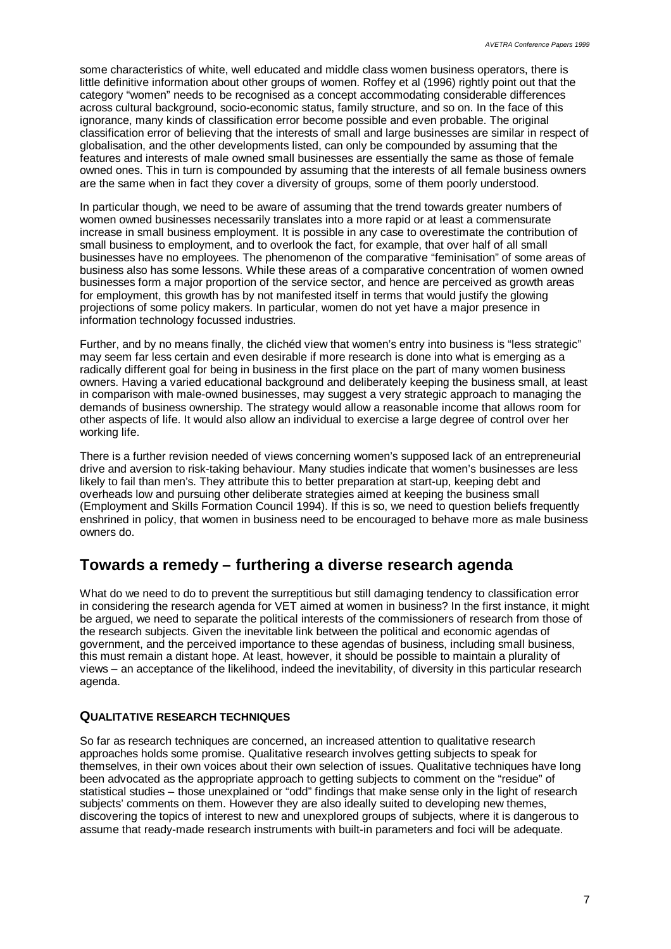some characteristics of white, well educated and middle class women business operators, there is little definitive information about other groups of women. Roffey et al (1996) rightly point out that the category "women" needs to be recognised as a concept accommodating considerable differences across cultural background, socio-economic status, family structure, and so on. In the face of this ignorance, many kinds of classification error become possible and even probable. The original classification error of believing that the interests of small and large businesses are similar in respect of globalisation, and the other developments listed, can only be compounded by assuming that the features and interests of male owned small businesses are essentially the same as those of female owned ones. This in turn is compounded by assuming that the interests of all female business owners are the same when in fact they cover a diversity of groups, some of them poorly understood.

In particular though, we need to be aware of assuming that the trend towards greater numbers of women owned businesses necessarily translates into a more rapid or at least a commensurate increase in small business employment. It is possible in any case to overestimate the contribution of small business to employment, and to overlook the fact, for example, that over half of all small businesses have no employees. The phenomenon of the comparative "feminisation" of some areas of business also has some lessons. While these areas of a comparative concentration of women owned businesses form a major proportion of the service sector, and hence are perceived as growth areas for employment, this growth has by not manifested itself in terms that would justify the glowing projections of some policy makers. In particular, women do not yet have a major presence in information technology focussed industries.

Further, and by no means finally, the clichéd view that women's entry into business is "less strategic" may seem far less certain and even desirable if more research is done into what is emerging as a radically different goal for being in business in the first place on the part of many women business owners. Having a varied educational background and deliberately keeping the business small, at least in comparison with male-owned businesses, may suggest a very strategic approach to managing the demands of business ownership. The strategy would allow a reasonable income that allows room for other aspects of life. It would also allow an individual to exercise a large degree of control over her working life.

There is a further revision needed of views concerning women's supposed lack of an entrepreneurial drive and aversion to risk-taking behaviour. Many studies indicate that women's businesses are less likely to fail than men's. They attribute this to better preparation at start-up, keeping debt and overheads low and pursuing other deliberate strategies aimed at keeping the business small (Employment and Skills Formation Council 1994). If this is so, we need to question beliefs frequently enshrined in policy, that women in business need to be encouraged to behave more as male business owners do.

# **Towards a remedy – furthering a diverse research agenda**

What do we need to do to prevent the surreptitious but still damaging tendency to classification error in considering the research agenda for VET aimed at women in business? In the first instance, it might be argued, we need to separate the political interests of the commissioners of research from those of the research subjects. Given the inevitable link between the political and economic agendas of government, and the perceived importance to these agendas of business, including small business, this must remain a distant hope. At least, however, it should be possible to maintain a plurality of views – an acceptance of the likelihood, indeed the inevitability, of diversity in this particular research agenda.

# **QUALITATIVE RESEARCH TECHNIQUES**

So far as research techniques are concerned, an increased attention to qualitative research approaches holds some promise. Qualitative research involves getting subjects to speak for themselves, in their own voices about their own selection of issues. Qualitative techniques have long been advocated as the appropriate approach to getting subjects to comment on the "residue" of statistical studies – those unexplained or "odd" findings that make sense only in the light of research subjects' comments on them. However they are also ideally suited to developing new themes, discovering the topics of interest to new and unexplored groups of subjects, where it is dangerous to assume that ready-made research instruments with built-in parameters and foci will be adequate.